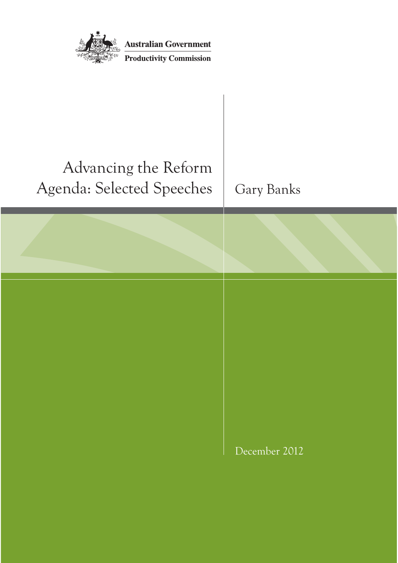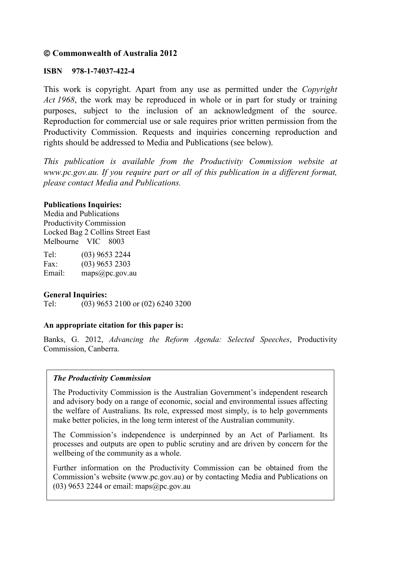### **Commonwealth of Australia 2012**

### **ISBN 978-1-74037-422-4**

This work is copyright. Apart from any use as permitted under the *Copyright Act 1968*, the work may be reproduced in whole or in part for study or training purposes, subject to the inclusion of an acknowledgment of the source. Reproduction for commercial use or sale requires prior written permission from the Productivity Commission. Requests and inquiries concerning reproduction and rights should be addressed to Media and Publications (see below).

*This publication is available from the Productivity Commission website at www.pc.gov.au. If you require part or all of this publication in a different format, please contact Media and Publications.*

#### **Publications Inquiries:**

Media and Publications Productivity Commission Locked Bag 2 Collins Street East Melbourne VIC 8003

Tel: (03) 9653 2244 Fax: (03) 9653 2303 Email: maps@pc.gov.au

#### **General Inquiries:**

Tel: (03) 9653 2100 or (02) 6240 3200

### **An appropriate citation for this paper is:**

Banks, G. 2012, *Advancing the Reform Agenda: Selected Speeches*, Productivity Commission, Canberra.

#### *The Productivity Commission*

The Productivity Commission is the Australian Government's independent research and advisory body on a range of economic, social and environmental issues affecting the welfare of Australians. Its role, expressed most simply, is to help governments make better policies, in the long term interest of the Australian community.

The Commission's independence is underpinned by an Act of Parliament. Its processes and outputs are open to public scrutiny and are driven by concern for the wellbeing of the community as a whole.

Further information on the Productivity Commission can be obtained from the Commission's website (www.pc.gov.au) or by contacting Media and Publications on (03) 9653 2244 or email: maps $@$ pc.gov.au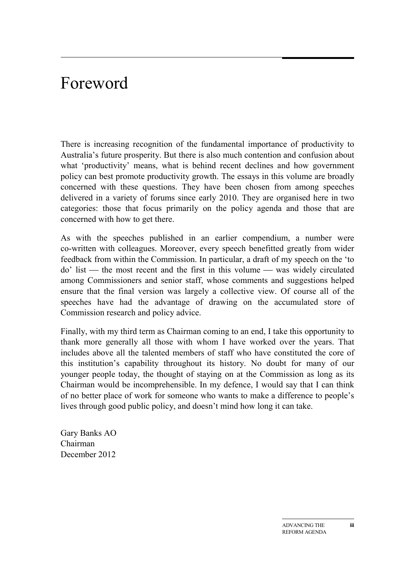# Foreword

There is increasing recognition of the fundamental importance of productivity to Australia's future prosperity. But there is also much contention and confusion about what 'productivity' means, what is behind recent declines and how government policy can best promote productivity growth. The essays in this volume are broadly concerned with these questions. They have been chosen from among speeches delivered in a variety of forums since early 2010. They are organised here in two categories: those that focus primarily on the policy agenda and those that are concerned with how to get there.

As with the speeches published in an earlier compendium, a number were co-written with colleagues. Moreover, every speech benefitted greatly from wider feedback from within the Commission. In particular, a draft of my speech on the 'to  $\phi$  list — the most recent and the first in this volume — was widely circulated among Commissioners and senior staff, whose comments and suggestions helped ensure that the final version was largely a collective view. Of course all of the speeches have had the advantage of drawing on the accumulated store of Commission research and policy advice.

Finally, with my third term as Chairman coming to an end, I take this opportunity to thank more generally all those with whom I have worked over the years. That includes above all the talented members of staff who have constituted the core of this institution's capability throughout its history. No doubt for many of our younger people today, the thought of staying on at the Commission as long as its Chairman would be incomprehensible. In my defence, I would say that I can think of no better place of work for someone who wants to make a difference to people's lives through good public policy, and doesn't mind how long it can take.

Gary Banks AO Chairman December 2012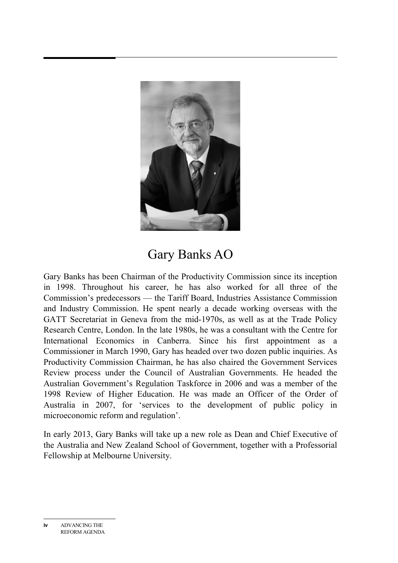

## Gary Banks AO

Gary Banks has been Chairman of the Productivity Commission since its inception in 1998. Throughout his career, he has also worked for all three of the Commission's predecessors — the Tariff Board, Industries Assistance Commission and Industry Commission. He spent nearly a decade working overseas with the GATT Secretariat in Geneva from the mid-1970s, as well as at the Trade Policy Research Centre, London. In the late 1980s, he was a consultant with the Centre for International Economics in Canberra. Since his first appointment as a Commissioner in March 1990, Gary has headed over two dozen public inquiries. As Productivity Commission Chairman, he has also chaired the Government Services Review process under the Council of Australian Governments. He headed the Australian Government's Regulation Taskforce in 2006 and was a member of the 1998 Review of Higher Education. He was made an Officer of the Order of Australia in 2007, for 'services to the development of public policy in microeconomic reform and regulation'.

In early 2013, Gary Banks will take up a new role as Dean and Chief Executive of the Australia and New Zealand School of Government, together with a Professorial Fellowship at Melbourne University.

**iv** ADVANCING THE REFORM AGENDA